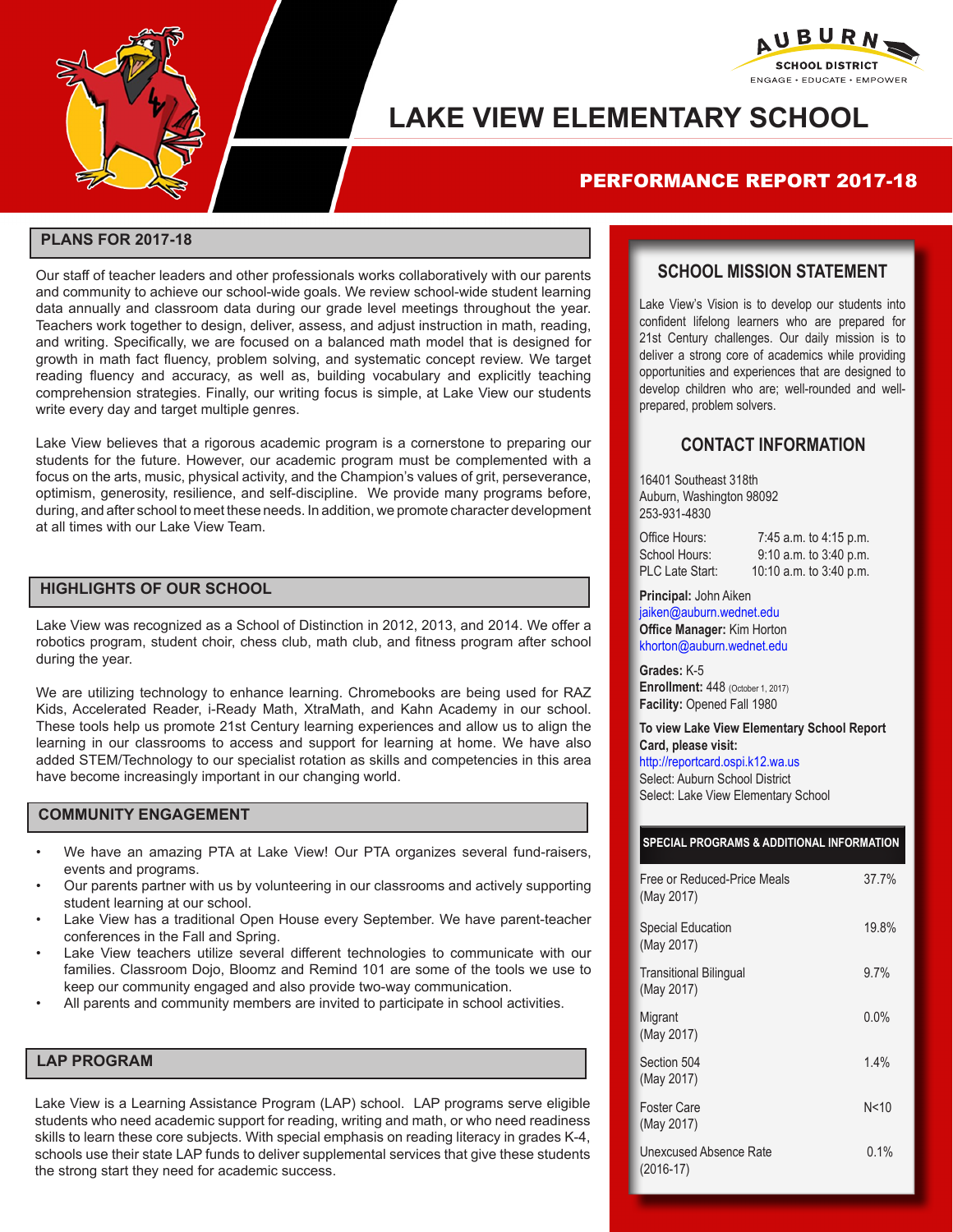



# **LAKE VIEW ELEMENTARY SCHOOL**

## PERFORMANCE REPORT 2017-18

#### **PLANS FOR 2017-18**

Our staff of teacher leaders and other professionals works collaboratively with our parents and community to achieve our school-wide goals. We review school-wide student learning data annually and classroom data during our grade level meetings throughout the year. Teachers work together to design, deliver, assess, and adjust instruction in math, reading, and writing. Specifically, we are focused on a balanced math model that is designed for growth in math fact fluency, problem solving, and systematic concept review. We target reading fluency and accuracy, as well as, building vocabulary and explicitly teaching comprehension strategies. Finally, our writing focus is simple, at Lake View our students write every day and target multiple genres.

Lake View believes that a rigorous academic program is a cornerstone to preparing our students for the future. However, our academic program must be complemented with a focus on the arts, music, physical activity, and the Champion's values of grit, perseverance, optimism, generosity, resilience, and self-discipline. We provide many programs before, during, and after school to meet these needs. In addition, we promote character development at all times with our Lake View Team.

#### **HIGHLIGHTS OF OUR SCHOOL**

Lake View was recognized as a School of Distinction in 2012, 2013, and 2014. We offer a robotics program, student choir, chess club, math club, and fitness program after school during the year.

We are utilizing technology to enhance learning. Chromebooks are being used for RAZ Kids, Accelerated Reader, i-Ready Math, XtraMath, and Kahn Academy in our school. These tools help us promote 21st Century learning experiences and allow us to align the learning in our classrooms to access and support for learning at home. We have also added STEM/Technology to our specialist rotation as skills and competencies in this area have become increasingly important in our changing world.

#### **COMMUNITY ENGAGEMENT**

- We have an amazing PTA at Lake View! Our PTA organizes several fund-raisers, events and programs.
- Our parents partner with us by volunteering in our classrooms and actively supporting student learning at our school.
- Lake View has a traditional Open House every September. We have parent-teacher conferences in the Fall and Spring.
- Lake View teachers utilize several different technologies to communicate with our families. Classroom Dojo, Bloomz and Remind 101 are some of the tools we use to keep our community engaged and also provide two-way communication.
- All parents and community members are invited to participate in school activities.

#### **LAP PROGRAM**

Lake View is a Learning Assistance Program (LAP) school. LAP programs serve eligible students who need academic support for reading, writing and math, or who need readiness skills to learn these core subjects. With special emphasis on reading literacy in grades K-4, schools use their state LAP funds to deliver supplemental services that give these students the strong start they need for academic success.

### **SCHOOL MISSION STATEMENT**

Lake View's Vision is to develop our students into confident lifelong learners who are prepared for 21st Century challenges. Our daily mission is to deliver a strong core of academics while providing opportunities and experiences that are designed to develop children who are; well-rounded and wellprepared, problem solvers.

### **CONTACT INFORMATION**

16401 Southeast 318th Auburn, Washington 98092 253-931-4830

| Office Hours:          | 7:45 a.m. to 4:15 p.m.     |
|------------------------|----------------------------|
| School Hours:          | $9:10$ a.m. to $3:40$ p.m. |
| <b>PLC Late Start:</b> | 10:10 a.m. to $3:40$ p.m.  |

**Principal:** John Aiken jaiken@auburn.wednet.edu **Office Manager:** Kim Horton khorton@auburn.wednet.edu

**Grades:** K-5 **Enrollment: 448 (October 1, 2017) Facility:** Opened Fall 1980

**To view Lake View Elementary School Report Card, please visit:**  http://reportcard.ospi.k12.wa.us Select: Auburn School District Select: Lake View Elementary School

#### **SPECIAL PROGRAMS & ADDITIONAL INFORMATION**

| Free or Reduced-Price Meals<br>(May 2017)   | 37.7%   |
|---------------------------------------------|---------|
| <b>Special Education</b><br>(May 2017)      | 19.8%   |
| <b>Transitional Bilingual</b><br>(May 2017) | $9.7\%$ |
| Migrant<br>(May 2017)                       | 0.0%    |
| Section 504<br>(May 2017)                   | 1.4%    |
| <b>Foster Care</b><br>(May 2017)            | N < 10  |
| Unexcused Absence Rate<br>$(2016-17)$       | 0.1%    |